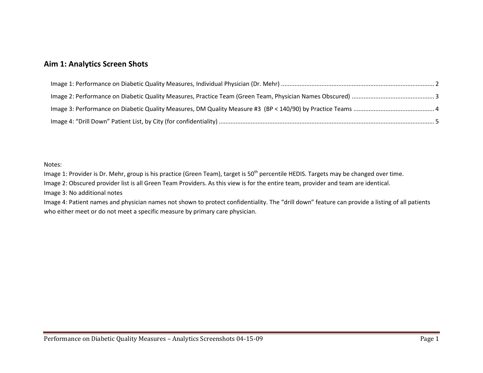## **Aim 1: Analytics Screen Shots**

#### Notes:

Image 1: Provider is Dr. Mehr, group is his practice (Green Team), target is 50<sup>th</sup> percentile HEDIS. Targets may be changed over time.

Image 2: Obscured provider list is all Green Team Providers. As this view is for the entire team, provider and team are identical.

Image 3: No additional notes

Image 4: Patient names and physician names not shown to protect confidentiality. The "drill down" feature can provide a listing of all patients who either meet or do not meet a specific measure by primary care physician.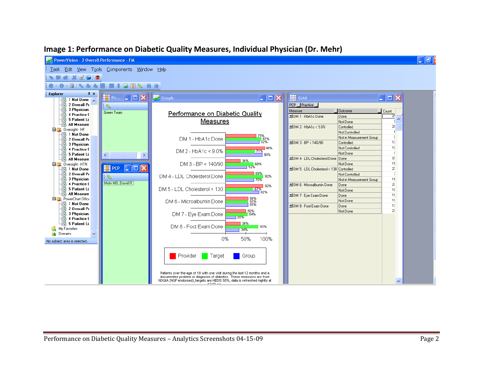

#### <span id="page-1-0"></span>**Image 1: Performance on Diabetic Quality Measures, Individual Physician (Dr. Mehr)**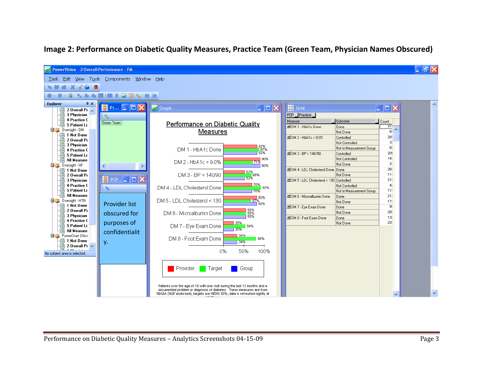

## <span id="page-2-0"></span>**Image 2: Performance on Diabetic Quality Measures, Practice Team (Green Team, Physician Names Obscured)**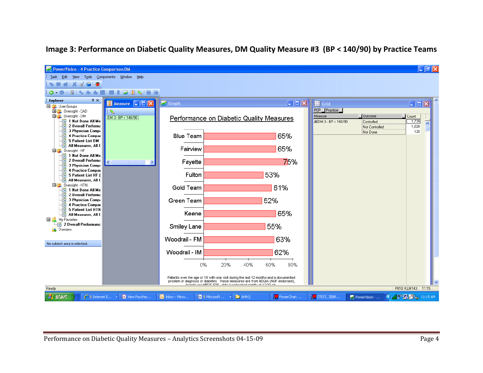

### <span id="page-3-0"></span>**Image 3: Performance on Diabetic Quality Measures, DM Quality Measure #3 (BP < 140/90) by Practice Teams**